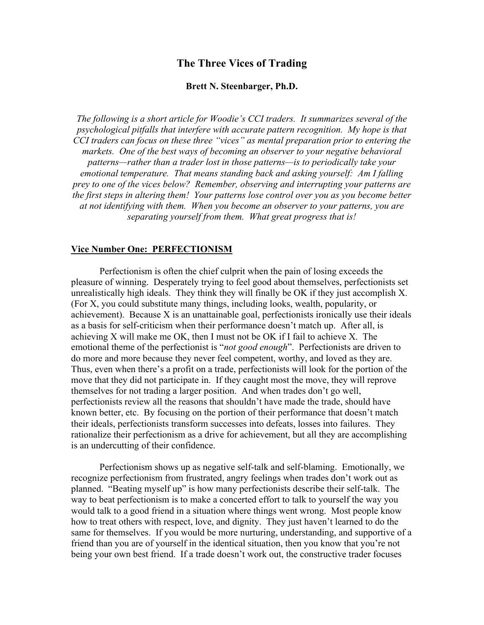# The Three Vices of Trading

#### Brett N. Steenbarger, Ph.D.

*The following is a short article for Woodie's CCI traders. It summarizes several of the psychological pitfalls that interfere with accurate pattern recognition. My hope is that CCI traders can focus on these three "vices" as mental preparation prior to entering the markets. One of the best ways of becoming an observer to your negative behavioral patterns—rather than a trader lost in those patterns—is to periodically take your emotional temperature. That means standing back and asking yourself: Am I falling prey to one of the vices below? Remember, observing and interrupting your patterns are the first steps in altering them! Your patterns lose control over you as you become better at not identifying with them. When you become an observer to your patterns, you are separating yourself from them. What great progress that is!*

### Vice Number One: PERFECTIONISM

Perfectionism is often the chief culprit when the pain of losing exceeds the pleasure of winning. Desperately trying to feel good about themselves, perfectionists set unrealistically high ideals. They think they will finally be OK if they just accomplish X. (For X, you could substitute many things, including looks, wealth, popularity, or achievement). Because X is an unattainable goal, perfectionists ironically use their ideals as a basis for self-criticism when their performance doesn't match up. After all, is achieving X will make me OK, then I must not be OK if I fail to achieve X. The emotional theme of the perfectionist is "*not good enough*". Perfectionists are driven to do more and more because they never feel competent, worthy, and loved as they are. Thus, even when there's a profit on a trade, perfectionists will look for the portion of the move that they did not participate in. If they caught most the move, they will reprove themselves for not trading a larger position. And when trades don't go well, perfectionists review all the reasons that shouldn't have made the trade, should have known better, etc. By focusing on the portion of their performance that doesn't match their ideals, perfectionists transform successes into defeats, losses into failures. They rationalize their perfectionism as a drive for achievement, but all they are accomplishing is an undercutting of their confidence.

Perfectionism shows up as negative self-talk and self-blaming. Emotionally, we recognize perfectionism from frustrated, angry feelings when trades don't work out as planned. "Beating myself up" is how many perfectionists describe their self-talk. The way to beat perfectionism is to make a concerted effort to talk to yourself the way you would talk to a good friend in a situation where things went wrong. Most people know how to treat others with respect, love, and dignity. They just haven't learned to do the same for themselves. If you would be more nurturing, understanding, and supportive of a friend than you are of yourself in the identical situation, then you know that you're not being your own best friend. If a trade doesn't work out, the constructive trader focuses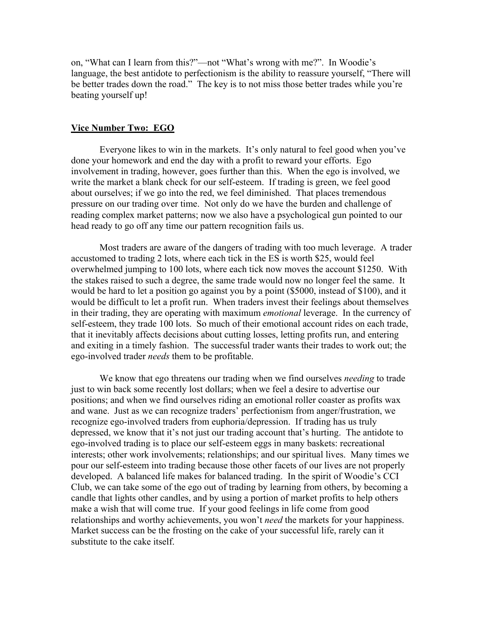on, "What can I learn from this?"—not "What's wrong with me?". In Woodie's language, the best antidote to perfectionism is the ability to reassure yourself, "There will be better trades down the road." The key is to not miss those better trades while you're beating yourself up!

### Vice Number Two: EGO

Everyone likes to win in the markets. It's only natural to feel good when you've done your homework and end the day with a profit to reward your efforts. Ego involvement in trading, however, goes further than this. When the ego is involved, we write the market a blank check for our self-esteem. If trading is green, we feel good about ourselves; if we go into the red, we feel diminished. That places tremendous pressure on our trading over time. Not only do we have the burden and challenge of reading complex market patterns; now we also have a psychological gun pointed to our head ready to go off any time our pattern recognition fails us.

Most traders are aware of the dangers of trading with too much leverage. A trader accustomed to trading 2 lots, where each tick in the ES is worth \$25, would feel overwhelmed jumping to 100 lots, where each tick now moves the account \$1250. With the stakes raised to such a degree, the same trade would now no longer feel the same. It would be hard to let a position go against you by a point (\$5000, instead of \$100), and it would be difficult to let a profit run. When traders invest their feelings about themselves in their trading, they are operating with maximum *emotional* leverage. In the currency of self-esteem, they trade 100 lots. So much of their emotional account rides on each trade, that it inevitably affects decisions about cutting losses, letting profits run, and entering and exiting in a timely fashion. The successful trader wants their trades to work out; the ego-involved trader *needs* them to be profitable.

We know that ego threatens our trading when we find ourselves *needing* to trade just to win back some recently lost dollars; when we feel a desire to advertise our positions; and when we find ourselves riding an emotional roller coaster as profits wax and wane. Just as we can recognize traders' perfectionism from anger/frustration, we recognize ego-involved traders from euphoria/depression. If trading has us truly depressed, we know that it's not just our trading account that's hurting. The antidote to ego-involved trading is to place our self-esteem eggs in many baskets: recreational interests; other work involvements; relationships; and our spiritual lives. Many times we pour our self-esteem into trading because those other facets of our lives are not properly developed. A balanced life makes for balanced trading. In the spirit of Woodie's CCI Club, we can take some of the ego out of trading by learning from others, by becoming a candle that lights other candles, and by using a portion of market profits to help others make a wish that will come true. If your good feelings in life come from good relationships and worthy achievements, you won't *need* the markets for your happiness. Market success can be the frosting on the cake of your successful life, rarely can it substitute to the cake itself.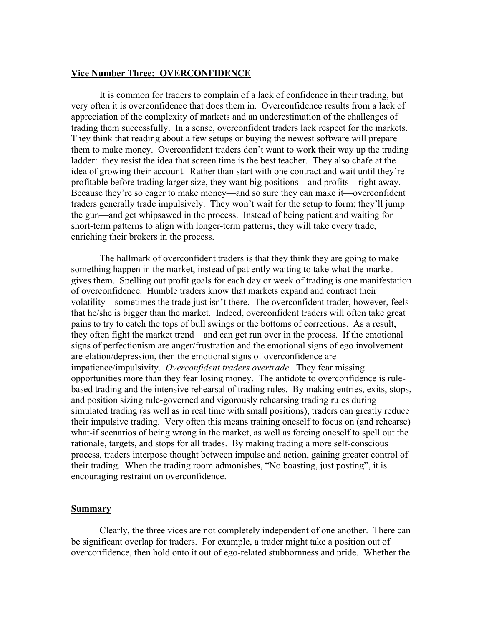## Vice Number Three: OVERCONFIDENCE

It is common for traders to complain of a lack of confidence in their trading, but very often it is overconfidence that does them in. Overconfidence results from a lack of appreciation of the complexity of markets and an underestimation of the challenges of trading them successfully. In a sense, overconfident traders lack respect for the markets. They think that reading about a few setups or buying the newest software will prepare them to make money. Overconfident traders don't want to work their way up the trading ladder: they resist the idea that screen time is the best teacher. They also chafe at the idea of growing their account. Rather than start with one contract and wait until they're profitable before trading larger size, they want big positions—and profits—right away. Because they're so eager to make money—and so sure they can make it—overconfident traders generally trade impulsively. They won't wait for the setup to form; they'll jump the gun—and get whipsawed in the process. Instead of being patient and waiting for short-term patterns to align with longer-term patterns, they will take every trade, enriching their brokers in the process.

The hallmark of overconfident traders is that they think they are going to make something happen in the market, instead of patiently waiting to take what the market gives them. Spelling out profit goals for each day or week of trading is one manifestation of overconfidence. Humble traders know that markets expand and contract their volatility—sometimes the trade just isn't there. The overconfident trader, however, feels that he/she is bigger than the market. Indeed, overconfident traders will often take great pains to try to catch the tops of bull swings or the bottoms of corrections. As a result, they often fight the market trend—and can get run over in the process. If the emotional signs of perfectionism are anger/frustration and the emotional signs of ego involvement are elation/depression, then the emotional signs of overconfidence are impatience/impulsivity. *Overconfident traders overtrade*. They fear missing opportunities more than they fear losing money. The antidote to overconfidence is rulebased trading and the intensive rehearsal of trading rules. By making entries, exits, stops, and position sizing rule-governed and vigorously rehearsing trading rules during simulated trading (as well as in real time with small positions), traders can greatly reduce their impulsive trading. Very often this means training oneself to focus on (and rehearse) what-if scenarios of being wrong in the market, as well as forcing oneself to spell out the rationale, targets, and stops for all trades. By making trading a more self-conscious process, traders interpose thought between impulse and action, gaining greater control of their trading. When the trading room admonishes, "No boasting, just posting", it is encouraging restraint on overconfidence.

#### Summary

Clearly, the three vices are not completely independent of one another. There can be significant overlap for traders. For example, a trader might take a position out of overconfidence, then hold onto it out of ego-related stubbornness and pride. Whether the